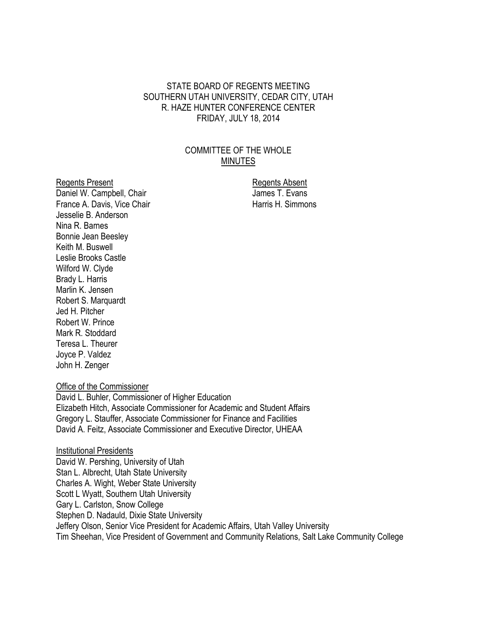#### STATE BOARD OF REGENTS MEETING SOUTHERN UTAH UNIVERSITY, CEDAR CITY, UTAH R. HAZE HUNTER CONFERENCE CENTER FRIDAY, JULY 18, 2014

## COMMITTEE OF THE WHOLE MINUTES

Regents Present **Regents** Absent Daniel W. Campbell, Chair James T. Evans France A. Davis, Vice Chair **Harris H. Simmons** Jesselie B. Anderson Nina R. Barnes Bonnie Jean Beesley Keith M. Buswell Leslie Brooks Castle Wilford W. Clyde Brady L. Harris Marlin K. Jensen Robert S. Marquardt Jed H. Pitcher Robert W. Prince Mark R. Stoddard Teresa L. Theurer Joyce P. Valdez John H. Zenger

Office of the Commissioner

David L. Buhler, Commissioner of Higher Education Elizabeth Hitch, Associate Commissioner for Academic and Student Affairs Gregory L. Stauffer, Associate Commissioner for Finance and Facilities David A. Feitz, Associate Commissioner and Executive Director, UHEAA

Institutional Presidents David W. Pershing, University of Utah Stan L. Albrecht, Utah State University Charles A. Wight, Weber State University Scott L Wyatt, Southern Utah University Gary L. Carlston, Snow College Stephen D. Nadauld, Dixie State University Jeffery Olson, Senior Vice President for Academic Affairs, Utah Valley University Tim Sheehan, Vice President of Government and Community Relations, Salt Lake Community College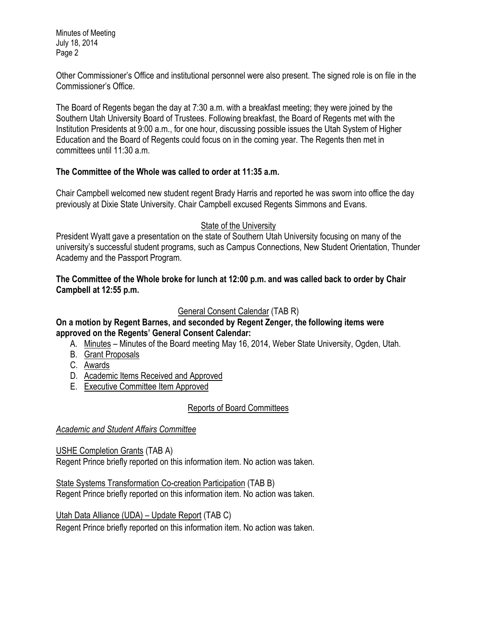Minutes of Meeting July 18, 2014 Page 2

Other Commissioner's Office and institutional personnel were also present. The signed role is on file in the Commissioner's Office.

The Board of Regents began the day at 7:30 a.m. with a breakfast meeting; they were joined by the Southern Utah University Board of Trustees. Following breakfast, the Board of Regents met with the Institution Presidents at 9:00 a.m., for one hour, discussing possible issues the Utah System of Higher Education and the Board of Regents could focus on in the coming year. The Regents then met in committees until 11:30 a.m.

## **The Committee of the Whole was called to order at 11:35 a.m.**

Chair Campbell welcomed new student regent Brady Harris and reported he was sworn into office the day previously at Dixie State University. Chair Campbell excused Regents Simmons and Evans.

### State of the University

President Wyatt gave a presentation on the state of Southern Utah University focusing on many of the university's successful student programs, such as Campus Connections, New Student Orientation, Thunder Academy and the Passport Program.

## **The Committee of the Whole broke for lunch at 12:00 p.m. and was called back to order by Chair Campbell at 12:55 p.m.**

# General Consent Calendar (TAB R)

**On a motion by Regent Barnes, and seconded by Regent Zenger, the following items were approved on the Regents' General Consent Calendar:**

- A. Minutes Minutes of the Board meeting May 16, 2014, Weber State University, Ogden, Utah.
- B. Grant Proposals
- C. Awards
- D. Academic Items Received and Approved
- E. Executive Committee Item Approved

# Reports of Board Committees

# *Academic and Student Affairs Committee*

USHE Completion Grants (TAB A) Regent Prince briefly reported on this information item. No action was taken.

State Systems Transformation Co-creation Participation (TAB B) Regent Prince briefly reported on this information item. No action was taken.

Utah Data Alliance (UDA) – Update Report (TAB C)

Regent Prince briefly reported on this information item. No action was taken.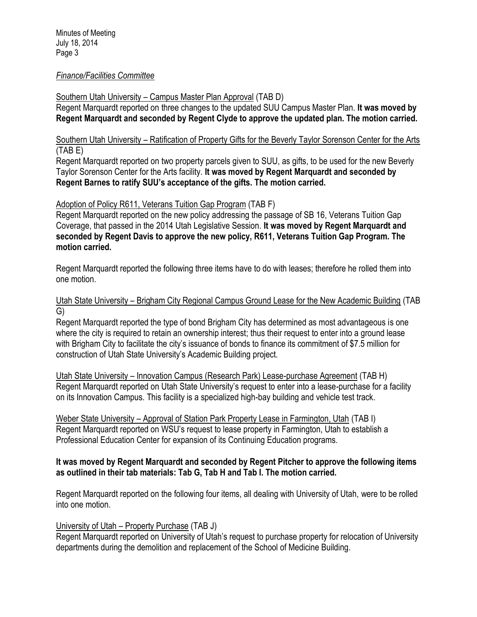#### *Finance/Facilities Committee*

Southern Utah University – Campus Master Plan Approval (TAB D)

Regent Marquardt reported on three changes to the updated SUU Campus Master Plan. **It was moved by Regent Marquardt and seconded by Regent Clyde to approve the updated plan. The motion carried.** 

Southern Utah University – Ratification of Property Gifts for the Beverly Taylor Sorenson Center for the Arts (TAB E)

Regent Marquardt reported on two property parcels given to SUU, as gifts, to be used for the new Beverly Taylor Sorenson Center for the Arts facility. **It was moved by Regent Marquardt and seconded by Regent Barnes to ratify SUU's acceptance of the gifts. The motion carried.** 

Adoption of Policy R611, Veterans Tuition Gap Program (TAB F)

Regent Marquardt reported on the new policy addressing the passage of SB 16, Veterans Tuition Gap Coverage, that passed in the 2014 Utah Legislative Session. **It was moved by Regent Marquardt and seconded by Regent Davis to approve the new policy, R611, Veterans Tuition Gap Program. The motion carried.** 

Regent Marquardt reported the following three items have to do with leases; therefore he rolled them into one motion.

Utah State University – Brigham City Regional Campus Ground Lease for the New Academic Building (TAB G)

Regent Marquardt reported the type of bond Brigham City has determined as most advantageous is one where the city is required to retain an ownership interest; thus their request to enter into a ground lease with Brigham City to facilitate the city's issuance of bonds to finance its commitment of \$7.5 million for construction of Utah State University's Academic Building project.

Utah State University – Innovation Campus (Research Park) Lease-purchase Agreement (TAB H) Regent Marquardt reported on Utah State University's request to enter into a lease-purchase for a facility on its Innovation Campus. This facility is a specialized high-bay building and vehicle test track.

Weber State University – Approval of Station Park Property Lease in Farmington, Utah (TAB I) Regent Marquardt reported on WSU's request to lease property in Farmington, Utah to establish a Professional Education Center for expansion of its Continuing Education programs.

#### **It was moved by Regent Marquardt and seconded by Regent Pitcher to approve the following items as outlined in their tab materials: Tab G, Tab H and Tab I. The motion carried.**

Regent Marquardt reported on the following four items, all dealing with University of Utah, were to be rolled into one motion.

### University of Utah – Property Purchase (TAB J)

Regent Marquardt reported on University of Utah's request to purchase property for relocation of University departments during the demolition and replacement of the School of Medicine Building.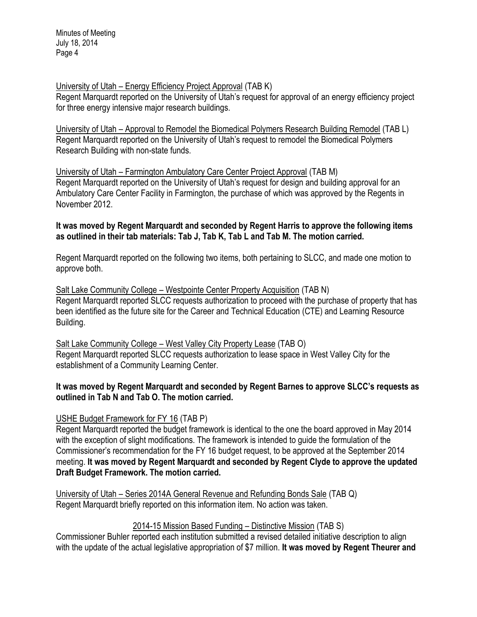Minutes of Meeting July 18, 2014 Page 4

### University of Utah – Energy Efficiency Project Approval (TAB K)

Regent Marquardt reported on the University of Utah's request for approval of an energy efficiency project for three energy intensive major research buildings.

University of Utah – Approval to Remodel the Biomedical Polymers Research Building Remodel (TAB L) Regent Marquardt reported on the University of Utah's request to remodel the Biomedical Polymers Research Building with non-state funds.

University of Utah – Farmington Ambulatory Care Center Project Approval (TAB M) Regent Marquardt reported on the University of Utah's request for design and building approval for an Ambulatory Care Center Facility in Farmington, the purchase of which was approved by the Regents in November 2012.

**It was moved by Regent Marquardt and seconded by Regent Harris to approve the following items as outlined in their tab materials: Tab J, Tab K, Tab L and Tab M. The motion carried.** 

Regent Marquardt reported on the following two items, both pertaining to SLCC, and made one motion to approve both.

Salt Lake Community College – Westpointe Center Property Acquisition (TAB N) Regent Marquardt reported SLCC requests authorization to proceed with the purchase of property that has been identified as the future site for the Career and Technical Education (CTE) and Learning Resource Building.

Salt Lake Community College – West Valley City Property Lease (TAB O) Regent Marquardt reported SLCC requests authorization to lease space in West Valley City for the establishment of a Community Learning Center.

#### **It was moved by Regent Marquardt and seconded by Regent Barnes to approve SLCC's requests as outlined in Tab N and Tab O. The motion carried.**

### USHE Budget Framework for FY 16 (TAB P)

Regent Marquardt reported the budget framework is identical to the one the board approved in May 2014 with the exception of slight modifications. The framework is intended to guide the formulation of the Commissioner's recommendation for the FY 16 budget request, to be approved at the September 2014 meeting. **It was moved by Regent Marquardt and seconded by Regent Clyde to approve the updated Draft Budget Framework. The motion carried.** 

University of Utah – Series 2014A General Revenue and Refunding Bonds Sale (TAB Q) Regent Marquardt briefly reported on this information item. No action was taken.

### 2014-15 Mission Based Funding – Distinctive Mission (TAB S)

Commissioner Buhler reported each institution submitted a revised detailed initiative description to align with the update of the actual legislative appropriation of \$7 million. **It was moved by Regent Theurer and**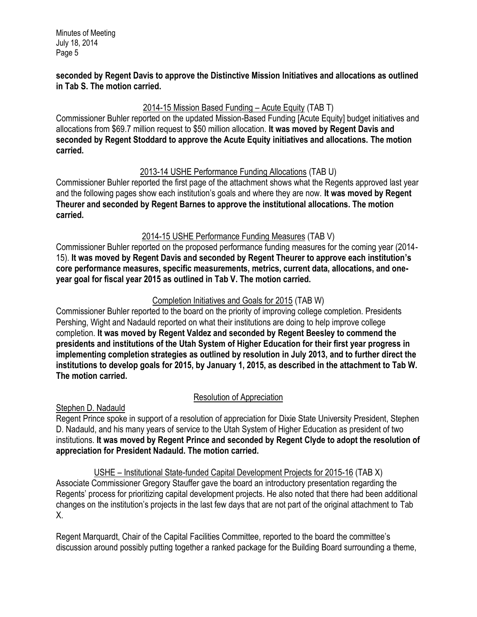#### **seconded by Regent Davis to approve the Distinctive Mission Initiatives and allocations as outlined in Tab S. The motion carried.**

# 2014-15 Mission Based Funding – Acute Equity (TAB T)

Commissioner Buhler reported on the updated Mission-Based Funding [Acute Equity] budget initiatives and allocations from \$69.7 million request to \$50 million allocation. **It was moved by Regent Davis and seconded by Regent Stoddard to approve the Acute Equity initiatives and allocations. The motion carried.** 

## 2013-14 USHE Performance Funding Allocations (TAB U)

Commissioner Buhler reported the first page of the attachment shows what the Regents approved last year and the following pages show each institution's goals and where they are now. **It was moved by Regent Theurer and seconded by Regent Barnes to approve the institutional allocations. The motion carried.** 

# 2014-15 USHE Performance Funding Measures (TAB V)

Commissioner Buhler reported on the proposed performance funding measures for the coming year (2014- 15). **It was moved by Regent Davis and seconded by Regent Theurer to approve each institution's core performance measures, specific measurements, metrics, current data, allocations, and oneyear goal for fiscal year 2015 as outlined in Tab V. The motion carried.** 

# Completion Initiatives and Goals for 2015 (TAB W)

Commissioner Buhler reported to the board on the priority of improving college completion. Presidents Pershing, Wight and Nadauld reported on what their institutions are doing to help improve college completion. **It was moved by Regent Valdez and seconded by Regent Beesley to commend the presidents and institutions of the Utah System of Higher Education for their first year progress in implementing completion strategies as outlined by resolution in July 2013, and to further direct the institutions to develop goals for 2015, by January 1, 2015, as described in the attachment to Tab W. The motion carried.** 

# Resolution of Appreciation

Stephen D. Nadauld

Regent Prince spoke in support of a resolution of appreciation for Dixie State University President, Stephen D. Nadauld, and his many years of service to the Utah System of Higher Education as president of two institutions. **It was moved by Regent Prince and seconded by Regent Clyde to adopt the resolution of appreciation for President Nadauld. The motion carried.**

USHE – Institutional State-funded Capital Development Projects for 2015-16 (TAB X) Associate Commissioner Gregory Stauffer gave the board an introductory presentation regarding the Regents' process for prioritizing capital development projects. He also noted that there had been additional changes on the institution's projects in the last few days that are not part of the original attachment to Tab X.

Regent Marquardt, Chair of the Capital Facilities Committee, reported to the board the committee's discussion around possibly putting together a ranked package for the Building Board surrounding a theme,